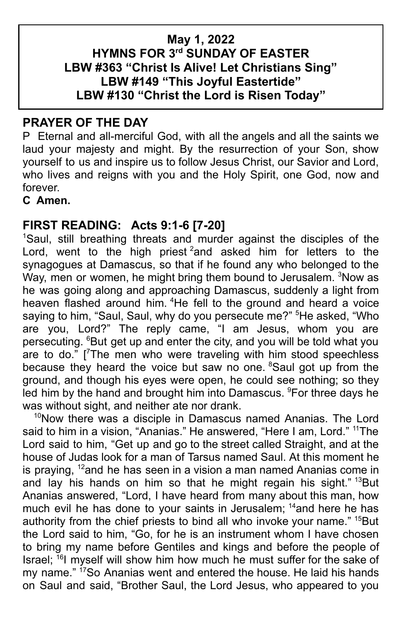# **May 1, 2022 HYMNS FOR 3rd SUNDAY OF EASTER LBW #363 "Christ Is Alive! Let Christians Sing" LBW #149 "This Joyful Eastertide" LBW #130 "Christ the Lord is Risen Today"**

# **PRAYER OF THE DAY**

P Eternal and all-merciful God, with all the angels and all the saints we laud your majesty and might. By the resurrection of your Son, show yourself to us and inspire us to follow Jesus Christ, our Savior and Lord, who lives and reigns with you and the Holy Spirit, one God, now and forever.

**C Amen.**

# **FIRST READING: Acts 9:1-6 [7-20]**

<sup>1</sup>Saul, still breathing threats and murder against the disciples of the Lord, went to the high priest <sup>2</sup>and asked him for letters to the synagogues at Damascus, so that if he found any who belonged to the Way, men or women, he might bring them bound to Jerusalem. <sup>3</sup>Now as he was going along and approaching Damascus, suddenly a light from heaven flashed around him. <sup>4</sup>He fell to the ground and heard a voice saying to him, "Saul, Saul, why do you persecute me?" <sup>5</sup>He asked, "Who are you, Lord?" The reply came, "I am Jesus, whom you are persecuting. <sup>6</sup>But get up and enter the city, and you will be told what you are to do." [ <sup>7</sup>The men who were traveling with him stood speechless because they heard the voice but saw no one. <sup>8</sup>Saul got up from the ground, and though his eyes were open, he could see nothing; so they led him by the hand and brought him into Damascus. <sup>9</sup>For three days he was without sight, and neither ate nor drank.

<sup>10</sup>Now there was a disciple in Damascus named Ananias. The Lord said to him in a vision, "Ananias." He answered, "Here I am, Lord." <sup>11</sup>The Lord said to him, "Get up and go to the street called Straight, and at the house of Judas look for a man of Tarsus named Saul. At this moment he is praying, <sup>12</sup>and he has seen in a vision a man named Ananias come in and lay his hands on him so that he might regain his sight." <sup>13</sup>But Ananias answered, "Lord, I have heard from many about this man, how much evil he has done to your saints in Jerusalem; <sup>14</sup>and here he has authority from the chief priests to bind all who invoke your name." <sup>15</sup>But the Lord said to him, "Go, for he is an instrument whom I have chosen to bring my name before Gentiles and kings and before the people of Israel; <sup>16</sup>l myself will show him how much he must suffer for the sake of my name." <sup>17</sup>So Ananias went and entered the house. He laid his hands on Saul and said, "Brother Saul, the Lord Jesus, who appeared to you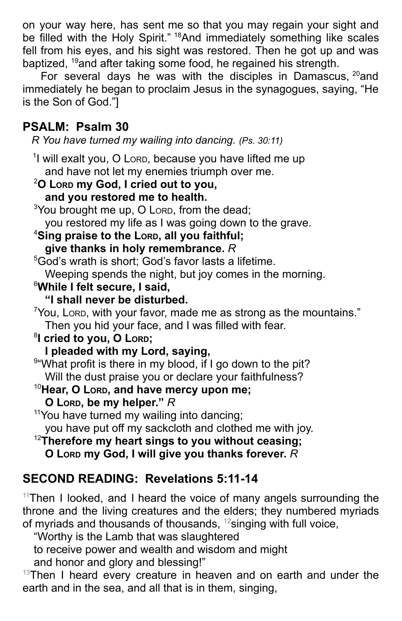on your way here, has sent me so that you may regain your sight and be filled with the Holy Spirit." <sup>18</sup>And immediately something like scales fell from his eyes, and his sight was restored. Then he got up and was baptized, <sup>19</sup>and after taking some food, he regained his strength.

For several days he was with the disciples in Damascus,  $20$  and immediately he began to proclaim Jesus in the synagogues, saying, "He is the Son of God."]

# **PSALM: Psalm 30**

*R You have turned my wailing into dancing. (Ps. 30:11)*

<sup>1</sup>l will exalt you, O Lorp, because you have lifted me up and have not let my enemies triumph over me.

<sup>2</sup>**O LORD my God, I cried out to you, and you restored me to health.**  $3$ You brought me up, O LORD, from the dead; you restored my life as I was going down to the grave. <sup>4</sup>**Sing praise to the LORD, all you faithful; give thanks in holy remembrance.** *R* <sup>5</sup>God's wrath is short; God's favor lasts a lifetime. Weeping spends the night, but joy comes in the morning. <sup>6</sup>**While I felt secure, I said, "I shall never be disturbed.**  $7$ You, Loro, with your favor, made me as strong as the mountains." Then you hid your face, and I was filled with fear. 8 **I cried to you, O LORD; I pleaded with my Lord, saying,** 9"What profit is there in my blood, if I go down to the pit? Will the dust praise you or declare your faithfulness? <sup>10</sup>**Hear, O LORD, and have mercy upon me; O LORD, be my helper."** *R* <sup>11</sup>You have turned my wailing into dancing; you have put off my sackcloth and clothed me with joy. <sup>12</sup>**Therefore my heart sings to you without ceasing;**

### **O LORD my God, I will give you thanks forever.** *R*

# **SECOND READING: Revelations 5:11-14**

 $11$ Then I looked, and I heard the voice of many angels surrounding the throne and the living creatures and the elders; they numbered myriads of myriads and thousands of thousands, <sup>12</sup>singing with full voice,

"Worthy is the Lamb that was slaughtered

to receive power and wealth and wisdom and might

and honor and glory and blessing!"

 $13$ Then I heard every creature in heaven and on earth and under the earth and in the sea, and all that is in them, singing,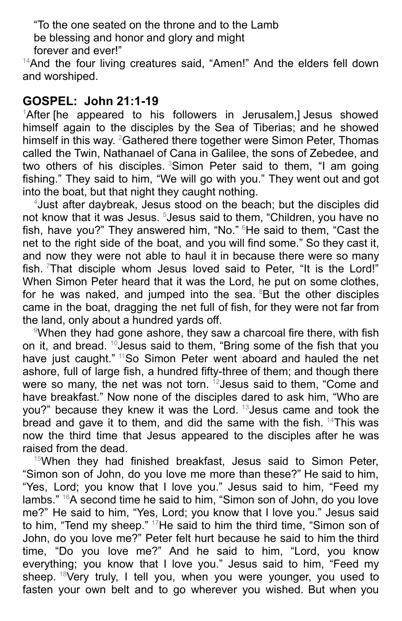"To the one seated on the throne and to the Lamb be blessing and honor and glory and might forever and ever!"

<sup>14</sup>And the four living creatures said, "Amen!" And the elders fell down and worshiped.

## **GOSPEL: John 21:1-19**

 ${}^{1}$ After [he appeared to his followers in Jerusalem,] Jesus showed himself again to the disciples by the Sea of Tiberias; and he showed himself in this way. <sup>2</sup>Gathered there together were Simon Peter, Thomas called the Twin, Nathanael of Cana in Galilee, the sons of Zebedee, and two others of his disciples. <sup>3</sup>Simon Peter said to them, "I am going fishing." They said to him, "We will go with you." They went out and got into the boat, but that night they caught nothing.

<sup>4</sup>Just after daybreak, Jesus stood on the beach; but the disciples did not know that it was Jesus. <sup>5</sup>Jesus said to them, "Children, you have no fish, have you?" They answered him, "No." <sup>6</sup>He said to them, "Cast the net to the right side of the boat, and you will find some." So they cast it, and now they were not able to haul it in because there were so many fish. That disciple whom Jesus loved said to Peter, "It is the Lord!" When Simon Peter heard that it was the Lord, he put on some clothes, for he was naked, and jumped into the sea. <sup>8</sup>But the other disciples came in the boat, dragging the net full of fish, for they were not far from the land, only about a hundred yards off.

<sup>9</sup>When they had gone ashore, they saw a charcoal fire there, with fish on it, and bread. <sup>10</sup> Jesus said to them, "Bring some of the fish that you have just caught." <sup>11</sup>So Simon Peter went aboard and hauled the net ashore, full of large fish, a hundred fifty-three of them; and though there were so many, the net was not torn. <sup>12</sup>Jesus said to them, "Come and have breakfast." Now none of the disciples dared to ask him, "Who are you?" because they knew it was the Lord. <sup>13</sup>Jesus came and took the bread and gave it to them, and did the same with the fish.  $14$ This was now the third time that Jesus appeared to the disciples after he was raised from the dead.

 $15$ When they had finished breakfast, Jesus said to Simon Peter, "Simon son of John, do you love me more than these?" He said to him, "Yes, Lord; you know that I love you." Jesus said to him, "Feed my lambs." <sup>16</sup>A second time he said to him, "Simon son of John, do you love me?" He said to him, "Yes, Lord; you know that I love you." Jesus said to him, "Tend my sheep." <sup>17</sup>He said to him the third time, "Simon son of John, do you love me?" Peter felt hurt because he said to him the third time, "Do you love me?" And he said to him, "Lord, you know everything; you know that I love you." Jesus said to him, "Feed my sheep. <sup>18</sup>Very truly, I tell you, when you were younger, you used to fasten your own belt and to go wherever you wished. But when you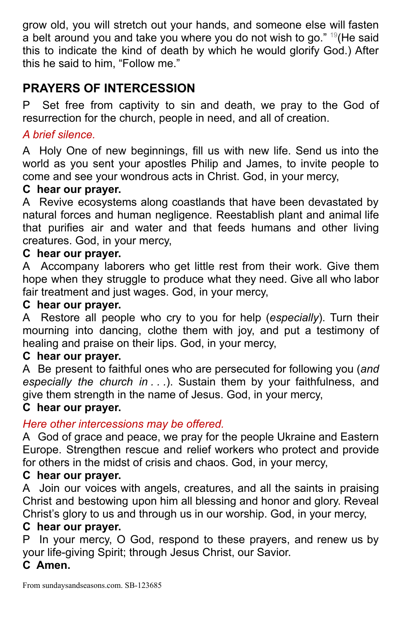grow old, you will stretch out your hands, and someone else will fasten a belt around you and take you where you do not wish to go." <sup>19</sup> (He said this to indicate the kind of death by which he would glorify God.) After this he said to him, "Follow me."

# **PRAYERS OF INTERCESSION**

P Set free from captivity to sin and death, we pray to the God of resurrection for the church, people in need, and all of creation.

### *A brief silence.*

A Holy One of new beginnings, fill us with new life. Send us into the world as you sent your apostles Philip and James, to invite people to come and see your wondrous acts in Christ. God, in your mercy,

### **C hear our prayer.**

A Revive ecosystems along coastlands that have been devastated by natural forces and human negligence. Reestablish plant and animal life that purifies air and water and that feeds humans and other living creatures. God, in your mercy,

### **C hear our prayer.**

A Accompany laborers who get little rest from their work. Give them hope when they struggle to produce what they need. Give all who labor fair treatment and just wages. God, in your mercy,

#### **C hear our prayer.**

A Restore all people who cry to you for help (*especially*). Turn their mourning into dancing, clothe them with joy, and put a testimony of healing and praise on their lips. God, in your mercy,

### **C hear our prayer.**

A Be present to faithful ones who are persecuted for following you (*and especially the church in . . .*). Sustain them by your faithfulness, and give them strength in the name of Jesus. God, in your mercy,

### **C hear our prayer.**

### *Here other intercessions may be offered.*

A God of grace and peace, we pray for the people Ukraine and Eastern Europe. Strengthen rescue and relief workers who protect and provide for others in the midst of crisis and chaos. God, in your mercy,

### **C hear our prayer.**

A Join our voices with angels, creatures, and all the saints in praising Christ and bestowing upon him all blessing and honor and glory. Reveal Christ's glory to us and through us in our worship. God, in your mercy,

# **C hear our prayer.**

P In your mercy, O God, respond to these prayers, and renew us by your life-giving Spirit; through Jesus Christ, our Savior.

### **C Amen.**